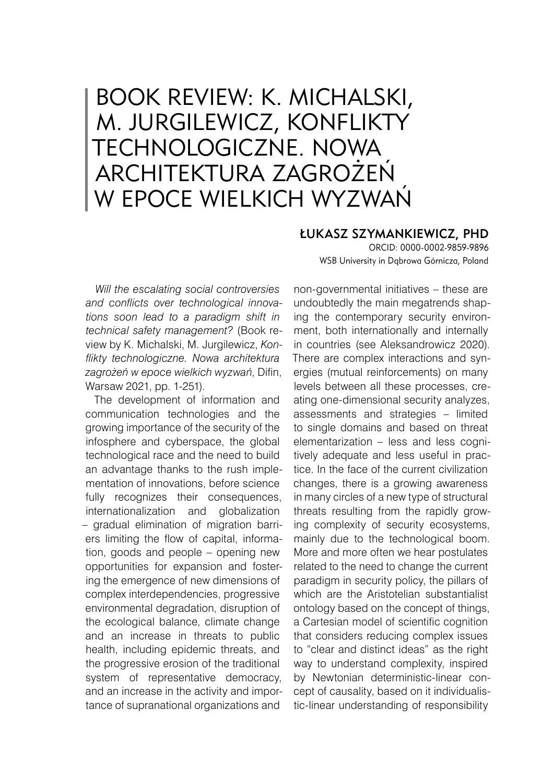## BOOK REVIEW: K. MICHALSKI, M. JURGILEWICZ, KONFLIKTY TECHNOLOGICZNE. NOWA ARCHITEKTURA ZAGROŻEŃ W EPOCE WIELKICH WYZWAŃ

## Łukasz Szymankiewicz, PhD

ORCID: 0000-0002-9859-9896 WSB University in Dąbrowa Górnicza, Poland

*Will the escalating social controversies and conflicts over technological innovations soon lead to a paradigm shift in technical safety management?* (Book review by K. Michalski, M. Jurgilewicz, *Konflikty technologiczne. Nowa architektura zagrożeń w epoce wielkich wyzwań*, Difin, Warsaw 2021, pp. 1-251).

The development of information and communication technologies and the growing importance of the security of the infosphere and cyberspace, the global technological race and the need to build an advantage thanks to the rush implementation of innovations, before science fully recognizes their consequences, internationalization and globalization – gradual elimination of migration barriers limiting the flow of capital, information, goods and people – opening new opportunities for expansion and fostering the emergence of new dimensions of complex interdependencies, progressive environmental degradation, disruption of the ecological balance, climate change and an increase in threats to public health, including epidemic threats, and the progressive erosion of the traditional system of representative democracy, and an increase in the activity and importance of supranational organizations and

non-governmental initiatives – these are undoubtedly the main megatrends shaping the contemporary security environment, both internationally and internally in countries (see Aleksandrowicz 2020). There are complex interactions and synergies (mutual reinforcements) on many levels between all these processes, creating one-dimensional security analyzes, assessments and strategies – limited to single domains and based on threat elementarization – less and less cognitively adequate and less useful in practice. In the face of the current civilization changes, there is a growing awareness in many circles of a new type of structural threats resulting from the rapidly growing complexity of security ecosystems, mainly due to the technological boom. More and more often we hear postulates related to the need to change the current paradigm in security policy, the pillars of which are the Aristotelian substantialist ontology based on the concept of things, a Cartesian model of scientific cognition that considers reducing complex issues to "clear and distinct ideas" as the right way to understand complexity, inspired by Newtonian deterministic-linear concept of causality, based on it individualistic-linear understanding of responsibility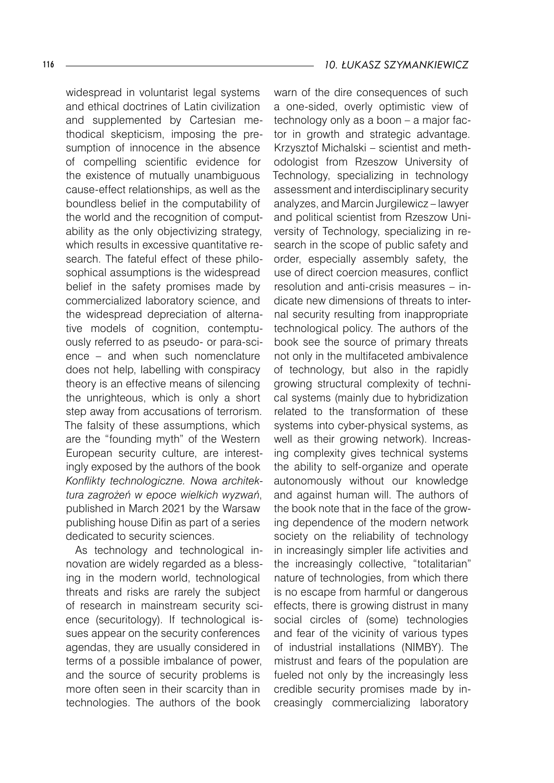widespread in voluntarist legal systems and ethical doctrines of Latin civilization and supplemented by Cartesian methodical skepticism, imposing the presumption of innocence in the absence of compelling scientific evidence for the existence of mutually unambiguous cause-effect relationships, as well as the boundless belief in the computability of the world and the recognition of computability as the only objectivizing strategy, which results in excessive quantitative research. The fateful effect of these philosophical assumptions is the widespread belief in the safety promises made by commercialized laboratory science, and the widespread depreciation of alternative models of cognition, contemptuously referred to as pseudo- or para-science – and when such nomenclature does not help, labelling with conspiracy theory is an effective means of silencing the unrighteous, which is only a short step away from accusations of terrorism. The falsity of these assumptions, which are the "founding myth" of the Western European security culture, are interestingly exposed by the authors of the book *Konflikty technologiczne. Nowa architektura zagrożeń w epoce wielkich wyzwań*, published in March 2021 by the Warsaw publishing house Difin as part of a series dedicated to security sciences.

As technology and technological innovation are widely regarded as a blessing in the modern world, technological threats and risks are rarely the subject of research in mainstream security science (securitology). If technological issues appear on the security conferences agendas, they are usually considered in terms of a possible imbalance of power, and the source of security problems is more often seen in their scarcity than in technologies. The authors of the book

warn of the dire consequences of such a one-sided, overly optimistic view of technology only as a boon – a major factor in growth and strategic advantage. Krzysztof Michalski – scientist and methodologist from Rzeszow University of Technology, specializing in technology assessment and interdisciplinary security analyzes, and Marcin Jurgilewicz – lawyer and political scientist from Rzeszow University of Technology, specializing in research in the scope of public safety and order, especially assembly safety, the use of direct coercion measures, conflict resolution and anti-crisis measures – indicate new dimensions of threats to internal security resulting from inappropriate technological policy. The authors of the book see the source of primary threats not only in the multifaceted ambivalence of technology, but also in the rapidly growing structural complexity of technical systems (mainly due to hybridization related to the transformation of these systems into cyber-physical systems, as well as their growing network). Increasing complexity gives technical systems the ability to self-organize and operate autonomously without our knowledge and against human will. The authors of the book note that in the face of the growing dependence of the modern network society on the reliability of technology in increasingly simpler life activities and the increasingly collective, "totalitarian" nature of technologies, from which there is no escape from harmful or dangerous effects, there is growing distrust in many social circles of (some) technologies and fear of the vicinity of various types of industrial installations (NIMBY). The mistrust and fears of the population are fueled not only by the increasingly less credible security promises made by increasingly commercializing laboratory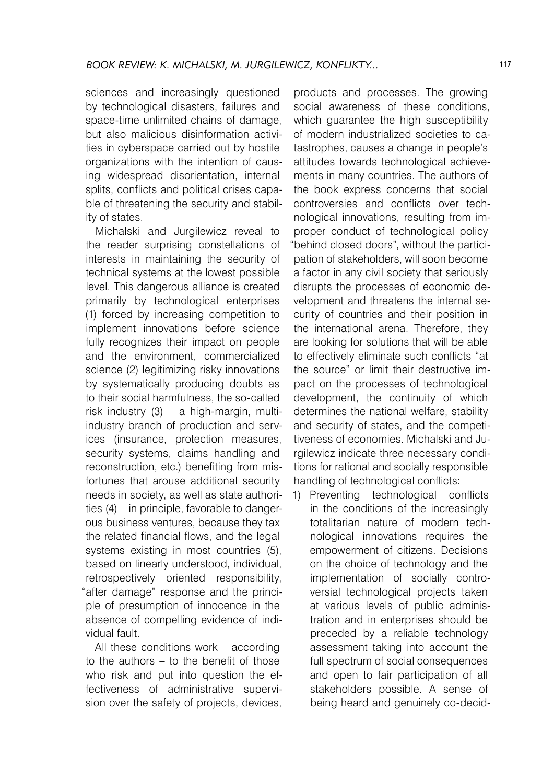sciences and increasingly questioned by technological disasters, failures and space-time unlimited chains of damage, but also malicious disinformation activities in cyberspace carried out by hostile organizations with the intention of causing widespread disorientation, internal splits, conflicts and political crises capable of threatening the security and stability of states.

Michalski and Jurgilewicz reveal to the reader surprising constellations of interests in maintaining the security of technical systems at the lowest possible level. This dangerous alliance is created primarily by technological enterprises (1) forced by increasing competition to implement innovations before science fully recognizes their impact on people and the environment, commercialized science (2) legitimizing risky innovations by systematically producing doubts as to their social harmfulness, the so-called risk industry (3) – a high-margin, multiindustry branch of production and services (insurance, protection measures, security systems, claims handling and reconstruction, etc.) benefiting from misfortunes that arouse additional security needs in society, as well as state authorities (4) – in principle, favorable to dangerous business ventures, because they tax the related financial flows, and the legal systems existing in most countries (5), based on linearly understood, individual, retrospectively oriented responsibility, "after damage" response and the principle of presumption of innocence in the absence of compelling evidence of individual fault.

All these conditions work – according to the authors – to the benefit of those who risk and put into question the effectiveness of administrative supervision over the safety of projects, devices,

products and processes. The growing social awareness of these conditions, which guarantee the high susceptibility of modern industrialized societies to catastrophes, causes a change in people's attitudes towards technological achievements in many countries. The authors of the book express concerns that social controversies and conflicts over technological innovations, resulting from improper conduct of technological policy "behind closed doors", without the participation of stakeholders, will soon become a factor in any civil society that seriously disrupts the processes of economic development and threatens the internal security of countries and their position in the international arena. Therefore, they are looking for solutions that will be able to effectively eliminate such conflicts "at the source" or limit their destructive impact on the processes of technological development, the continuity of which determines the national welfare, stability and security of states, and the competitiveness of economies. Michalski and Jurgilewicz indicate three necessary conditions for rational and socially responsible handling of technological conflicts:

1) Preventing technological conflicts in the conditions of the increasingly totalitarian nature of modern technological innovations requires the empowerment of citizens. Decisions on the choice of technology and the implementation of socially controversial technological projects taken at various levels of public administration and in enterprises should be preceded by a reliable technology assessment taking into account the full spectrum of social consequences and open to fair participation of all stakeholders possible. A sense of being heard and genuinely co-decid